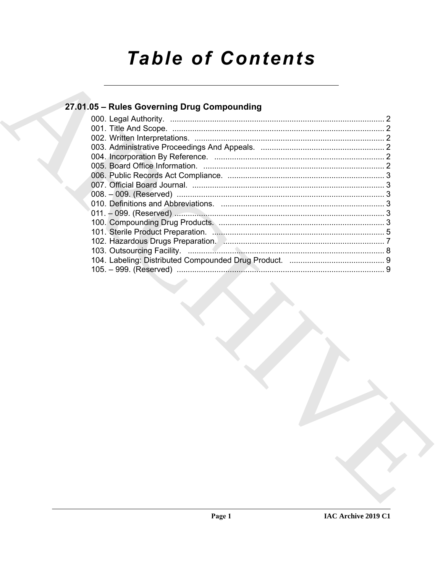# **Table of Contents**

### 27.01.05 - Rules Governing Drug Compounding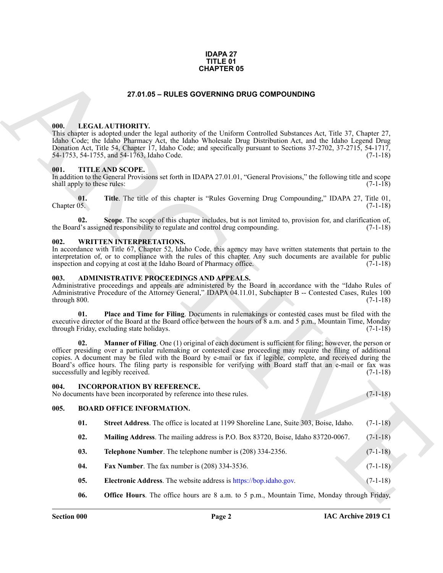#### **IDAPA 27 TITLE 01 CHAPTER 05**

#### **27.01.05 – RULES GOVERNING DRUG COMPOUNDING**

#### <span id="page-1-10"></span><span id="page-1-1"></span><span id="page-1-0"></span>**000. LEGAL AUTHORITY.**

This chapter is adopted under the legal authority of the Uniform Controlled Substances Act, Title 37, Chapter 27, Idaho Code; the Idaho Pharmacy Act, the Idaho Wholesale Drug Distribution Act, and the Idaho Legend Drug Donation Act, Title 54, Chapter 17, Idaho Code; and specifically pursuant to Sections 37-2702, 37-2715, 54-1717, 54-1755, and 54-1763, Idaho Code. 54-1753, 54-1755, and 54-1763, Idaho Code.

#### <span id="page-1-11"></span><span id="page-1-2"></span>**001. TITLE AND SCOPE.**

In addition to the General Provisions set forth in IDAPA 27.01.01, "General Provisions," the following title and scope shall apply to these rules: (7-1-18) (3-1-18)

**01. Title**. The title of this chapter is "Rules Governing Drug Compounding," IDAPA 27, Title 01,  $\ell$  Chapter 05. (7-1-18)

**02. Scope**. The scope of this chapter includes, but is not limited to, provision for, and clarification of, the Board's assigned responsibility to regulate and control drug compounding. (7-1-18)

#### <span id="page-1-12"></span><span id="page-1-3"></span>**002. WRITTEN INTERPRETATIONS.**

In accordance with Title 67, Chapter 52, Idaho Code, this agency may have written statements that pertain to the interpretation of, or to compliance with the rules of this chapter. Any such documents are available for public inspection and copying at cost at the Idaho Board of Pharmacy office.  $(7-1-18)$ 

#### <span id="page-1-7"></span><span id="page-1-4"></span>**003. ADMINISTRATIVE PROCEEDINGS AND APPEALS.**

Administrative proceedings and appeals are administered by the Board in accordance with the "Idaho Rules of Administrative Procedure of the Attorney General," IDAPA 04.11.01, Subchapter B -- Contested Cases, Rules 100 through 800. (7-1-18)

**01. Place and Time for Filing**. Documents in rulemakings or contested cases must be filed with the executive director of the Board at the Board office between the hours of 8 a.m. and 5 p.m., Mountain Time, Monday through Friday, excluding state holidays. (7-1-18)

**EXAMPLE ROS**<br>
27 **CHARCH CONTROL CONTROVERING** DRUG COMPONDIBING<br>
1980. LETTLE AND INTELLE AND INSTEAD OF THE UNIVERSITY CONTROL SUBSISTING TO THE CONTROL CONTROL CONTROL CONTROL CONTROL CONTROL CONTROL CONTROL CONTROL C **Manner of Filing**. One (1) original of each document is sufficient for filing; however, the person or officer presiding over a particular rulemaking or contested case proceeding may require the filing of additional copies. A document may be filed with the Board by e-mail or fax if legible, complete, and received during the Board's office hours. The filing party is responsible for verifying with Board staff that an e-mail or fax was successfully and legibly received. (7-1-18)

#### <span id="page-1-9"></span><span id="page-1-5"></span>**004. INCORPORATION BY REFERENCE.**

No documents have been incorporated by reference into these rules. (7-1-18)

#### <span id="page-1-6"></span>**005. BOARD OFFICE INFORMATION.**

- <span id="page-1-8"></span>**01. Street Address**. The office is located at 1199 Shoreline Lane, Suite 303, Boise, Idaho. (7-1-18)
- **02. Mailing Address**. The mailing address is P.O. Box 83720, Boise, Idaho 83720-0067. (7-1-18)
- **03. Telephone Number**. The telephone number is (208) 334-2356. (7-1-18)
- **04. Fax Number**. The fax number is (208) 334-3536. (7-1-18)
- **05. Electronic Address**. The website address is https://bop.idaho.gov. (7-1-18)
- **06. Office Hours**. The office hours are 8 a.m. to 5 p.m., Mountain Time, Monday through Friday,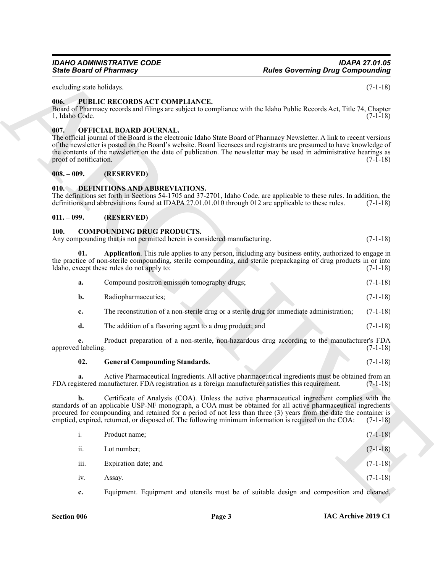#### <span id="page-2-11"></span><span id="page-2-0"></span>**006. PUBLIC RECORDS ACT COMPLIANCE.**

#### <span id="page-2-10"></span><span id="page-2-1"></span>**007. OFFICIAL BOARD JOURNAL.**

#### <span id="page-2-2"></span>**008. – 009. (RESERVED)**

#### <span id="page-2-9"></span><span id="page-2-3"></span>**010. DEFINITIONS AND ABBREVIATIONS.**

#### <span id="page-2-4"></span>**011. – 099. (RESERVED)**

#### <span id="page-2-7"></span><span id="page-2-6"></span><span id="page-2-5"></span>**100. COMPOUNDING DRUG PRODUCTS.**

| <b>State Board of Pharmacy</b> |                                                                                                                | <b>Rules Governing Drug Compounding</b>                                                                                                                                                                                                                                                                                                                                                                                                      |            |
|--------------------------------|----------------------------------------------------------------------------------------------------------------|----------------------------------------------------------------------------------------------------------------------------------------------------------------------------------------------------------------------------------------------------------------------------------------------------------------------------------------------------------------------------------------------------------------------------------------------|------------|
| excluding state holidays.      |                                                                                                                |                                                                                                                                                                                                                                                                                                                                                                                                                                              | $(7-1-18)$ |
| 006.<br>1, Idaho Code.         | PUBLIC RECORDS ACT COMPLIANCE.                                                                                 | Board of Pharmacy records and filings are subject to compliance with the Idaho Public Records Act, Title 74, Chapter                                                                                                                                                                                                                                                                                                                         | $(7-1-18)$ |
| 007.<br>proof of notification. | OFFICIAL BOARD JOURNAL.                                                                                        | The official journal of the Board is the electronic Idaho State Board of Pharmacy Newsletter. A link to recent versions<br>of the newsletter is posted on the Board's website. Board licensees and registrants are presumed to have knowledge of<br>the contents of the newsletter on the date of publication. The newsletter may be used in administrative hearings as                                                                      | $(7-1-18)$ |
| $008.-009.$                    | (RESERVED)                                                                                                     |                                                                                                                                                                                                                                                                                                                                                                                                                                              |            |
| 010.                           | DEFINITIONS AND ABBREVIATIONS.                                                                                 | The definitions set forth in Sections 54-1705 and 37-2701, Idaho Code, are applicable to these rules. In addition, the<br>definitions and abbreviations found at IDAPA 27.01.01.010 through 012 are applicable to these rules.                                                                                                                                                                                                               | $(7-1-18)$ |
| $011. - 099.$                  | (RESERVED)                                                                                                     |                                                                                                                                                                                                                                                                                                                                                                                                                                              |            |
| <b>100.</b>                    | <b>COMPOUNDING DRUG PRODUCTS.</b><br>Any compounding that is not permitted herein is considered manufacturing. |                                                                                                                                                                                                                                                                                                                                                                                                                                              | $(7-1-18)$ |
| 01.                            | Idaho, except these rules do not apply to:                                                                     | Application. This rule applies to any person, including any business entity, authorized to engage in<br>the practice of non-sterile compounding, sterile compounding, and sterile prepackaging of drug products in or into                                                                                                                                                                                                                   | $(7-1-18)$ |
| a.                             | Compound positron emission tomography drugs;                                                                   |                                                                                                                                                                                                                                                                                                                                                                                                                                              | $(7-1-18)$ |
| b.                             | Radiopharmaceutics;                                                                                            |                                                                                                                                                                                                                                                                                                                                                                                                                                              | $(7-1-18)$ |
| $c_{\cdot}$                    |                                                                                                                | The reconstitution of a non-sterile drug or a sterile drug for immediate administration;                                                                                                                                                                                                                                                                                                                                                     | $(7-1-18)$ |
| d.                             | The addition of a flavoring agent to a drug product; and                                                       |                                                                                                                                                                                                                                                                                                                                                                                                                                              | $(7-1-18)$ |
| e.<br>approved labeling.       |                                                                                                                | Product preparation of a non-sterile, non-hazardous drug according to the manufacturer's FDA                                                                                                                                                                                                                                                                                                                                                 | $(7-1-18)$ |
| 02.                            | <b>General Compounding Standards.</b>                                                                          |                                                                                                                                                                                                                                                                                                                                                                                                                                              | $(7-1-18)$ |
|                                |                                                                                                                | Active Pharmaceutical Ingredients. All active pharmaceutical ingredients must be obtained from an<br>FDA registered manufacturer. FDA registration as a foreign manufacturer satisfies this requirement.                                                                                                                                                                                                                                     | $(7-1-18)$ |
| b.                             |                                                                                                                | Certificate of Analysis (COA). Unless the active pharmaceutical ingredient complies with the<br>standards of an applicable USP-NF monograph, a COA must be obtained for all active pharmaceutical ingredients<br>procured for compounding and retained for a period of not less than three (3) years from the date the container is<br>emptied, expired, returned, or disposed of. The following minimum information is required on the COA: | $(7-1-18)$ |
| i.                             | Product name;                                                                                                  |                                                                                                                                                                                                                                                                                                                                                                                                                                              | $(7-1-18)$ |
| ii.                            | Lot number;                                                                                                    |                                                                                                                                                                                                                                                                                                                                                                                                                                              | $(7-1-18)$ |
| iii.                           | Expiration date; and                                                                                           |                                                                                                                                                                                                                                                                                                                                                                                                                                              | $(7-1-18)$ |
| iv.                            | Assay.                                                                                                         |                                                                                                                                                                                                                                                                                                                                                                                                                                              | $(7-1-18)$ |
|                                | Equipment. Equipment and utensils must be of suitable design and composition and cleaned,                      |                                                                                                                                                                                                                                                                                                                                                                                                                                              |            |

#### <span id="page-2-8"></span>**02. General Compounding Standards**. (7-1-18)

| 1.   | Product name;        | $(7-1-18)$ |
|------|----------------------|------------|
| ii.  | Lot number;          | $(7-1-18)$ |
| iii. | Expiration date; and | $(7-1-18)$ |
| iv.  | Assay.               | $(7-1-18)$ |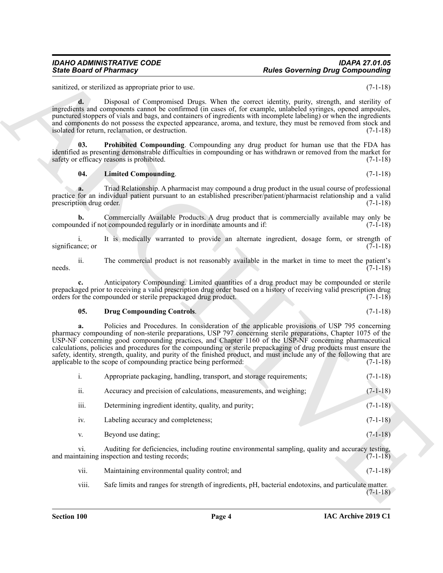#### <span id="page-3-2"></span><span id="page-3-1"></span>**04. Limited Compounding**. (7-1-18)

#### <span id="page-3-0"></span>**05. Drug Compounding Controls**. (7-1-18)

|                                | <b>State Board of Pharmacy</b>                                                                                                                                                                                                                                                                                                                                                                                                                                                                                                                                                                                                                | <b>Rules Governing Drug Compounding</b> |            |
|--------------------------------|-----------------------------------------------------------------------------------------------------------------------------------------------------------------------------------------------------------------------------------------------------------------------------------------------------------------------------------------------------------------------------------------------------------------------------------------------------------------------------------------------------------------------------------------------------------------------------------------------------------------------------------------------|-----------------------------------------|------------|
|                                | sanitized, or sterilized as appropriate prior to use.                                                                                                                                                                                                                                                                                                                                                                                                                                                                                                                                                                                         |                                         | $(7-1-18)$ |
| $\mathbf{d}$ .                 | Disposal of Compromised Drugs. When the correct identity, purity, strength, and sterility of<br>ingredients and components cannot be confirmed (in cases of, for example, unlabeled syringes, opened ampoules,<br>punctured stoppers of vials and bags, and containers of ingredients with incomplete labeling) or when the ingredients<br>and components do not possess the expected appearance, aroma, and texture, they must be removed from stock and<br>isolated for return, reclamation, or destruction.                                                                                                                                |                                         | $(7-1-18)$ |
| 03.                            | Prohibited Compounding. Compounding any drug product for human use that the FDA has<br>identified as presenting demonstrable difficulties in compounding or has withdrawn or removed from the market for<br>safety or efficacy reasons is prohibited.                                                                                                                                                                                                                                                                                                                                                                                         |                                         | $(7-1-18)$ |
| 04.                            | <b>Limited Compounding.</b>                                                                                                                                                                                                                                                                                                                                                                                                                                                                                                                                                                                                                   |                                         | $(7-1-18)$ |
| a.<br>prescription drug order. | Triad Relationship. A pharmacist may compound a drug product in the usual course of professional<br>practice for an individual patient pursuant to an established prescriber/patient/pharmacist relationship and a valid                                                                                                                                                                                                                                                                                                                                                                                                                      |                                         | $(7-1-18)$ |
| b.                             | Commercially Available Products. A drug product that is commercially available may only be<br>compounded if not compounded regularly or in inordinate amounts and if:                                                                                                                                                                                                                                                                                                                                                                                                                                                                         |                                         | $(7-1-18)$ |
| 1.<br>significance; or         | It is medically warranted to provide an alternate ingredient, dosage form, or strength of                                                                                                                                                                                                                                                                                                                                                                                                                                                                                                                                                     |                                         | $(7-1-18)$ |
| ii.<br>needs.                  | The commercial product is not reasonably available in the market in time to meet the patient's                                                                                                                                                                                                                                                                                                                                                                                                                                                                                                                                                |                                         | $(7-1-18)$ |
|                                | Anticipatory Compounding. Limited quantities of a drug product may be compounded or sterile<br>prepackaged prior to receiving a valid prescription drug order based on a history of receiving valid prescription drug<br>orders for the compounded or sterile prepackaged drug product.                                                                                                                                                                                                                                                                                                                                                       |                                         | $(7-1-18)$ |
| 05.                            | <b>Drug Compounding Controls.</b>                                                                                                                                                                                                                                                                                                                                                                                                                                                                                                                                                                                                             |                                         | $(7-1-18)$ |
| a.                             | Policies and Procedures. In consideration of the applicable provisions of USP 795 concerning<br>pharmacy compounding of non-sterile preparations, USP 797 concerning sterile preparations, Chapter 1075 of the<br>USP-NF concerning good compounding practices, and Chapter 1160 of the USP-NF concerning pharmaceutical<br>calculations, policies and procedures for the compounding or sterile prepackaging of drug products must ensure the<br>safety, identity, strength, quality, and purity of the finished product, and must include any of the following that are<br>applicable to the scope of compounding practice being performed: |                                         | $(7-1-18)$ |
| i.                             | Appropriate packaging, handling, transport, and storage requirements;                                                                                                                                                                                                                                                                                                                                                                                                                                                                                                                                                                         |                                         | $(7-1-18)$ |
| ii.                            | Accuracy and precision of calculations, measurements, and weighing;                                                                                                                                                                                                                                                                                                                                                                                                                                                                                                                                                                           |                                         | $(7-1-18)$ |
| iii.                           | Determining ingredient identity, quality, and purity;                                                                                                                                                                                                                                                                                                                                                                                                                                                                                                                                                                                         |                                         | $(7-1-18)$ |
| iv.                            | Labeling accuracy and completeness;                                                                                                                                                                                                                                                                                                                                                                                                                                                                                                                                                                                                           |                                         | $(7-1-18)$ |
| V.                             | Beyond use dating;                                                                                                                                                                                                                                                                                                                                                                                                                                                                                                                                                                                                                            |                                         | $(7-1-18)$ |
| vi.                            | Auditing for deficiencies, including routine environmental sampling, quality and accuracy testing,<br>and maintaining inspection and testing records;                                                                                                                                                                                                                                                                                                                                                                                                                                                                                         |                                         | $(7-1-18)$ |
|                                |                                                                                                                                                                                                                                                                                                                                                                                                                                                                                                                                                                                                                                               |                                         |            |
| vii.                           | Maintaining environmental quality control; and                                                                                                                                                                                                                                                                                                                                                                                                                                                                                                                                                                                                |                                         | $(7-1-18)$ |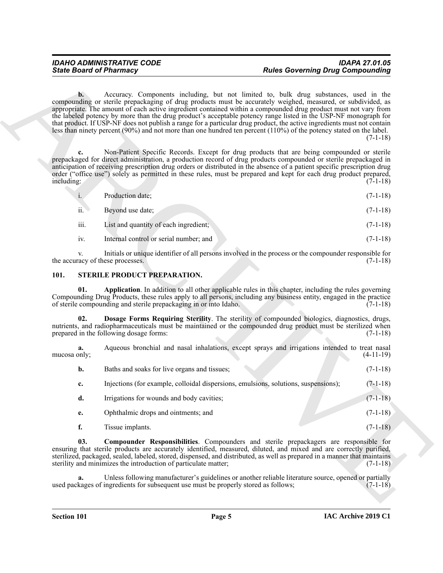| 1. | Production date; | $(7-1-18)$ |
|----|------------------|------------|
|    |                  |            |

| ii. | Bevond use date: |  | $(7-1-18)$ |
|-----|------------------|--|------------|
|     |                  |  |            |

#### <span id="page-4-4"></span><span id="page-4-3"></span><span id="page-4-2"></span><span id="page-4-1"></span><span id="page-4-0"></span>**101. STERILE PRODUCT PREPARATION.**

| <b>State Board of Pharmacy</b>         |                                                                                     | <b>Rules Governing Drug Compounding</b>                                                                                                                                                                                                                                                                                                                                                                                                                                                                                                                                                                                                                                                       |             |
|----------------------------------------|-------------------------------------------------------------------------------------|-----------------------------------------------------------------------------------------------------------------------------------------------------------------------------------------------------------------------------------------------------------------------------------------------------------------------------------------------------------------------------------------------------------------------------------------------------------------------------------------------------------------------------------------------------------------------------------------------------------------------------------------------------------------------------------------------|-------------|
| $\mathbf{b}$ .                         |                                                                                     | Accuracy. Components including, but not limited to, bulk drug substances, used in the<br>compounding or sterile prepackaging of drug products must be accurately weighed, measured, or subdivided, as<br>appropriate. The amount of each active ingredient contained within a compounded drug product must not vary from<br>the labeled potency by more than the drug product's acceptable potency range listed in the USP-NF monograph for<br>that product. If USP-NF does not publish a range for a particular drug product, the active ingredients must not contain<br>less than ninety percent (90%) and not more than one hundred ten percent (110%) of the potency stated on the label. | $(7-1-18)$  |
| c.<br>including:                       |                                                                                     | Non-Patient Specific Records. Except for drug products that are being compounded or sterile<br>prepackaged for direct administration, a production record of drug products compounded or sterile prepackaged in<br>anticipation of receiving prescription drug orders or distributed in the absence of a patient specific prescription drug<br>order ("office use") solely as permitted in these rules, must be prepared and kept for each drug product prepared,                                                                                                                                                                                                                             | $(7-1-18)$  |
| i.                                     | Production date;                                                                    |                                                                                                                                                                                                                                                                                                                                                                                                                                                                                                                                                                                                                                                                                               | $(7-1-18)$  |
| ii.                                    | Beyond use date;                                                                    |                                                                                                                                                                                                                                                                                                                                                                                                                                                                                                                                                                                                                                                                                               | $(7-1-18)$  |
| iii.                                   | List and quantity of each ingredient;                                               |                                                                                                                                                                                                                                                                                                                                                                                                                                                                                                                                                                                                                                                                                               | $(7-1-18)$  |
| iv.                                    | Internal control or serial number; and                                              |                                                                                                                                                                                                                                                                                                                                                                                                                                                                                                                                                                                                                                                                                               | $(7-1-18)$  |
| V.<br>the accuracy of these processes. |                                                                                     | Initials or unique identifier of all persons involved in the process or the compounder responsible for                                                                                                                                                                                                                                                                                                                                                                                                                                                                                                                                                                                        | $(7-1-18)$  |
| 101.                                   | STERILE PRODUCT PREPARATION.                                                        |                                                                                                                                                                                                                                                                                                                                                                                                                                                                                                                                                                                                                                                                                               |             |
| 01.                                    | of sterile compounding and sterile prepackaging in or into Idaho.                   | Application. In addition to all other applicable rules in this chapter, including the rules governing<br>Compounding Drug Products, these rules apply to all persons, including any business entity, engaged in the practice                                                                                                                                                                                                                                                                                                                                                                                                                                                                  | $(7-1-18)$  |
| 02.                                    | prepared in the following dosage forms:                                             | Dosage Forms Requiring Sterility. The sterility of compounded biologics, diagnostics, drugs,<br>nutrients, and radiopharmaceuticals must be maintained or the compounded drug product must be sterilized when                                                                                                                                                                                                                                                                                                                                                                                                                                                                                 | $(7-1-18)$  |
| a.<br>mucosa only;                     |                                                                                     | Aqueous bronchial and nasal inhalations, except sprays and irrigations intended to treat nasal                                                                                                                                                                                                                                                                                                                                                                                                                                                                                                                                                                                                | $(4-11-19)$ |
| b.                                     | Baths and soaks for live organs and tissues;                                        |                                                                                                                                                                                                                                                                                                                                                                                                                                                                                                                                                                                                                                                                                               | $(7-1-18)$  |
| c.                                     |                                                                                     | Injections (for example, colloidal dispersions, emulsions, solutions, suspensions);                                                                                                                                                                                                                                                                                                                                                                                                                                                                                                                                                                                                           | $(7-1-18)$  |
| d.                                     | Irrigations for wounds and body cavities;                                           |                                                                                                                                                                                                                                                                                                                                                                                                                                                                                                                                                                                                                                                                                               | $(7-1-18)$  |
| e.                                     | Ophthalmic drops and ointments; and                                                 |                                                                                                                                                                                                                                                                                                                                                                                                                                                                                                                                                                                                                                                                                               | $(7-1-18)$  |
| f.                                     | Tissue implants.                                                                    |                                                                                                                                                                                                                                                                                                                                                                                                                                                                                                                                                                                                                                                                                               | $(7-1-18)$  |
| 03.                                    | sterility and minimizes the introduction of particulate matter;                     | Compounder Responsibilities. Compounders and sterile prepackagers are responsible for<br>ensuring that sterile products are accurately identified, measured, diluted, and mixed and are correctly purified,<br>sterilized, packaged, sealed, labeled, stored, dispensed, and distributed, as well as prepared in a manner that maintains                                                                                                                                                                                                                                                                                                                                                      | $(7-1-18)$  |
| a.                                     |                                                                                     | Unless following manufacturer's guidelines or another reliable literature source, opened or partially                                                                                                                                                                                                                                                                                                                                                                                                                                                                                                                                                                                         | $(7-1-18)$  |
|                                        | used packages of ingredients for subsequent use must be properly stored as follows; |                                                                                                                                                                                                                                                                                                                                                                                                                                                                                                                                                                                                                                                                                               |             |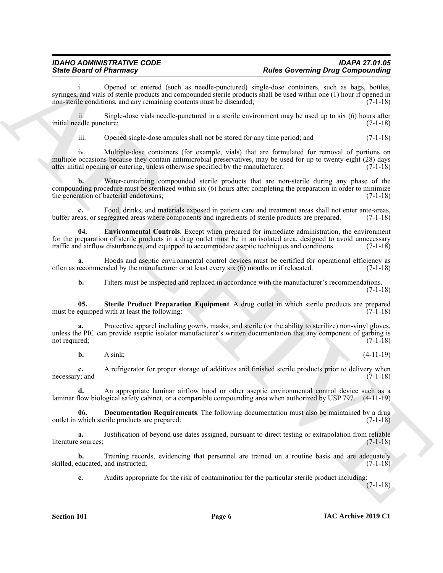### *IDAHO ADMINISTRATIVE CODE IDAPA 27.01.05 State Board of Pharmacy Rules Governing Drug Compounding*

i. Opened or entered (such as needle-punctured) single-dose containers, such as bags, bottles, syringes, and vials of sterile products and compounded sterile products shall be used within one (1) hour if opened in non-sterile conditions, and any remaining contents must be discarded; (7-1-18)

ii. Single-dose vials needle-punctured in a sterile environment may be used up to six (6) hours after initial needle puncture; (7-1-18)

iii. Opened single-dose ampules shall not be stored for any time period; and  $(7-1-18)$ 

Since Board of Phormacy - The cause of the system and the Georgridge Composition (and the system of the system of the system of the system of the system of the system of the system of the system of the system of the syste iv. Multiple-dose containers (for example, vials) that are formulated for removal of portions on multiple occasions because they contain antimicrobial preservatives, may be used for up to twenty-eight (28) days after initial opening or entering, unless otherwise specified by the manufacturer; (7-1-18)

**b.** Water-containing compounded sterile products that are non-sterile during any phase of the compounding procedure must be sterilized within six (6) hours after completing the preparation in order to minimize the generation of bacterial endotoxins; (7-1-18)

**c.** Food, drinks, and materials exposed in patient care and treatment areas shall not enter ante-areas, buffer areas, or segregated areas where components and ingredients of sterile products are prepared. (7-1-18)

<span id="page-5-1"></span>**04. Environmental Controls**. Except when prepared for immediate administration, the environment for the preparation of sterile products in a drug outlet must be in an isolated area, designed to avoid unnecessary traffic and airflow disturbances, and equipped to accommodate aseptic techniques and conditions. (7-1-18)

**a.** Hoods and aseptic environmental control devices must be certified for operational efficiency as recommended by the manufacturer or at least every six (6) months or if relocated. (7-1-18) often as recommended by the manufacturer or at least every  $\dot{x}$  (6) months or if relocated.

<span id="page-5-2"></span>**b.** Filters must be inspected and replaced in accordance with the manufacturer's recommendations.

**05. Sterile Product Preparation Equipment**. A drug outlet in which sterile products are prepared must be equipped with at least the following: (7-1-18)

Protective apparel including gowns, masks, and sterile (or the ability to sterilize) non-vinyl gloves, unless the PIC can provide aseptic isolator manufacturer's written documentation that any component of garbing is not required; (7-1-18)

**b.** A sink; (4-11-19)

**c.** A refrigerator for proper storage of additives and finished sterile products prior to delivery when v: and (7-1-18) necessary; and

**d.** An appropriate laminar airflow hood or other aseptic environmental control device such as a laminar flow biological safety cabinet, or a comparable compounding area when authorized by USP 797. (4-11-19)

<span id="page-5-0"></span>**06. Documentation Requirements**. The following documentation must also be maintained by a drug outlet in which sterile products are prepared: (7-1-18)

**a.** Justification of beyond use dates assigned, pursuant to direct testing or extrapolation from reliable is sources; literature sources;

**b.** Training records, evidencing that personnel are trained on a routine basis and are adequately skilled, educated, and instructed; (7-1-18)

**c.** Audits appropriate for the risk of contamination for the particular sterile product including:

(7-1-18)

(7-1-18)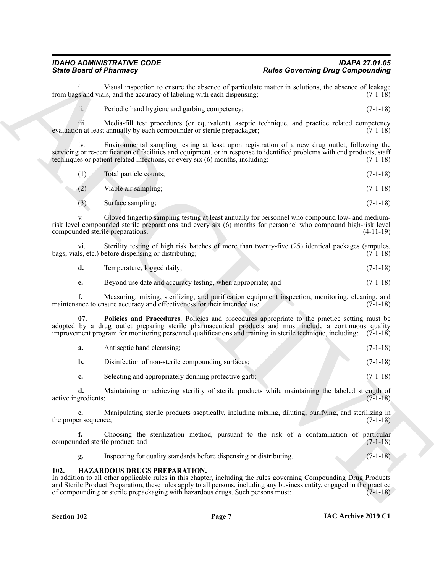### *IDAHO ADMINISTRATIVE CODE IDAPA 27.01.05*

i. Visual inspection to ensure the absence of particulate matter in solutions, the absence of leakage variantly is and vials, and the accuracy of labeling with each dispensing: (7-1-18) from bags and vials, and the accuracy of labeling with each dispensing;

ii. Periodic hand hygiene and garbing competency; (7-1-18)

iii. Media-fill test procedures (or equivalent), aseptic technique, and practice related competency evaluation at least annually by each compounder or sterile prepackager;

iv. Environmental sampling testing at least upon registration of a new drug outlet, following the servicing or re-certification of facilities and equipment, or in response to identified problems with end products, staff techniques or patient-related infections, or every six (6) months, including: (7-1-18)

| (1) | Total particle counts; | $(7-1-18)$ |  |
|-----|------------------------|------------|--|
|     |                        |            |  |

- (2) Viable air sampling; (7-1-18)
- (3) Surface sampling; (7-1-18)

Sinic Board of Humanity strategies the shortest distinction and the strategies of the shortest distinction of the strategies of the strategies of the strategies of the strategies of the strategies of the strategies of the v. Gloved fingertip sampling testing at least annually for personnel who compound low- and mediumrisk level compounded sterile preparations and every six (6) months for personnel who compound high-risk level compounded sterile preparations. (4-11-19)

vi. Sterility testing of high risk batches of more than twenty-five (25) identical packages (ampules, bags, vials, etc.) before dispensing or distributing; (7-1-18)

**d.** Temperature, logged daily; (7-1-18)

<span id="page-6-2"></span>**e.** Beyond use date and accuracy testing, when appropriate; and  $(7-1-18)$ 

**f.** Measuring, mixing, sterilizing, and purification equipment inspection, monitoring, cleaning, and nnce to ensure accuracy and effectiveness for their intended use. (7-1-18) maintenance to ensure accuracy and effectiveness for their intended use.

**07. Policies and Procedures**. Policies and procedures appropriate to the practice setting must be adopted by a drug outlet preparing sterile pharmaceutical products and must include a continuous quality improvement program for monitoring personnel qualifications and training in sterile technique, including: (7-1-18)

| Antiseptic hand cleansing;                                                                                                                                                                                                                                                                                                         |  |  | $(7-1-18)$ |
|------------------------------------------------------------------------------------------------------------------------------------------------------------------------------------------------------------------------------------------------------------------------------------------------------------------------------------|--|--|------------|
| $\mathbf{D}$ $\mathbf{D}$ $\mathbf{D}$ $\mathbf{D}$ $\mathbf{D}$ $\mathbf{D}$ $\mathbf{D}$ $\mathbf{D}$ $\mathbf{D}$ $\mathbf{D}$ $\mathbf{D}$ $\mathbf{D}$ $\mathbf{D}$ $\mathbf{D}$ $\mathbf{D}$ $\mathbf{D}$ $\mathbf{D}$ $\mathbf{D}$ $\mathbf{D}$ $\mathbf{D}$ $\mathbf{D}$ $\mathbf{D}$ $\mathbf{D}$ $\mathbf{D}$ $\mathbf{$ |  |  |            |

**b.** Disinfection of non-sterile compounding surfaces; (7-1-18)

**c.** Selecting and appropriately donning protective garb; (7-1-18)

**d.** Maintaining or achieving sterility of sterile products while maintaining the labeled strength of gredients; (7-1-18) active ingredients;

**e.** Manipulating sterile products aseptically, including mixing, diluting, purifying, and sterilizing in the proper sequence;  $(7-1-18)$ 

**f.** Choosing the sterilization method, pursuant to the risk of a contamination of particular ded sterile product; and (7-1-18) compounded sterile product; and

<span id="page-6-1"></span>**g.** Inspecting for quality standards before dispensing or distributing. (7-1-18)

#### <span id="page-6-0"></span>**102. HAZARDOUS DRUGS PREPARATION.**

In addition to all other applicable rules in this chapter, including the rules governing Compounding Drug Products and Sterile Product Preparation, these rules apply to all persons, including any business entity, engaged in the practice of compounding or sterile prepackaging with hazardous drugs. Such persons must: (7-1-18)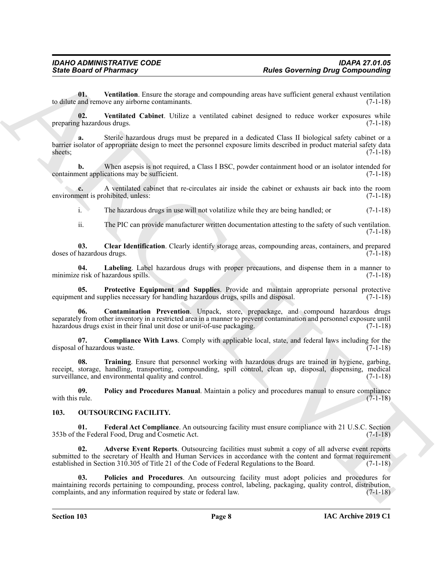<span id="page-7-9"></span>**01. Ventilation**. Ensure the storage and compounding areas have sufficient general exhaust ventilation to dilute and remove any airborne contaminants. (7-1-18)

<span id="page-7-8"></span>**02. Ventilated Cabinet**. Utilize a ventilated cabinet designed to reduce worker exposures while preparing hazardous drugs. (7-1-18)

Sinks Board of Pharmacy<br>
Units Characterize (and the stationary and compounding area faces allows a particular symptoms of the stationary of the stationary and the stationary and the stationary and the stationary and the **a.** Sterile hazardous drugs must be prepared in a dedicated Class II biological safety cabinet or a barrier isolator of appropriate design to meet the personnel exposure limits described in product material safety data sheets;  $(7-1-18)$ 

**b.** When asepsis is not required, a Class I BSC, powder containment hood or an isolator intended for ent applications may be sufficient. (7-1-18) containment applications may be sufficient.

**c.** A ventilated cabinet that re-circulates air inside the cabinet or exhausts air back into the room environment is prohibited, unless: (7-1-18)

i. The hazardous drugs in use will not volatilize while they are being handled; or (7-1-18)

<span id="page-7-4"></span><span id="page-7-1"></span>ii. The PIC can provide manufacturer written documentation attesting to the safety of such ventilation. (7-1-18)

**03. Clear Identification**. Clearly identify storage areas, compounding areas, containers, and prepared doses of hazardous drugs. (7-1-18)

**04. Labeling**. Label hazardous drugs with proper precautions, and dispense them in a manner to minimize risk of hazardous spills. (7-1-18)

<span id="page-7-6"></span>**05. Protective Equipment and Supplies**. Provide and maintain appropriate personal protective equipment and supplies necessary for handling hazardous drugs, spills and disposal.  $(7-1-18)$ 

<span id="page-7-3"></span>**06. Contamination Prevention**. Unpack, store, prepackage, and compound hazardous drugs separately from other inventory in a restricted area in a manner to prevent contamination and personnel exposure until hazardous drugs exist in their final unit dose or unit-of-use packaging. (7-1-18)

<span id="page-7-2"></span>**07. Compliance With Laws**. Comply with applicable local, state, and federal laws including for the disposal of hazardous waste.

<span id="page-7-7"></span>**08. Training**. Ensure that personnel working with hazardous drugs are trained in hygiene, garbing, receipt, storage, handling, transporting, compounding, spill control, clean up, disposal, dispensing, medical surveillance, and environmental quality and control. (7-1-18)

<span id="page-7-5"></span>**09.** Policy and Procedures Manual. Maintain a policy and procedures manual to ensure compliance rule. (7-1-18) with this rule.

#### <span id="page-7-12"></span><span id="page-7-10"></span><span id="page-7-0"></span>**103. OUTSOURCING FACILITY.**

**01. Federal Act Compliance**. An outsourcing facility must ensure compliance with 21 U.S.C. Section 353b of the Federal Food, Drug and Cosmetic Act.

<span id="page-7-11"></span>**02. Adverse Event Reports**. Outsourcing facilities must submit a copy of all adverse event reports submitted to the secretary of Health and Human Services in accordance with the content and format requirement established in Section 310.305 of Title 21 of the Code of Federal Regulations to the Board. (7-1-18)

<span id="page-7-13"></span>**03. Policies and Procedures**. An outsourcing facility must adopt policies and procedures for maintaining records pertaining to compounding, process control, labeling, packaging, quality control, distribution, complaints, and any information required by state or federal law. (7-1-18)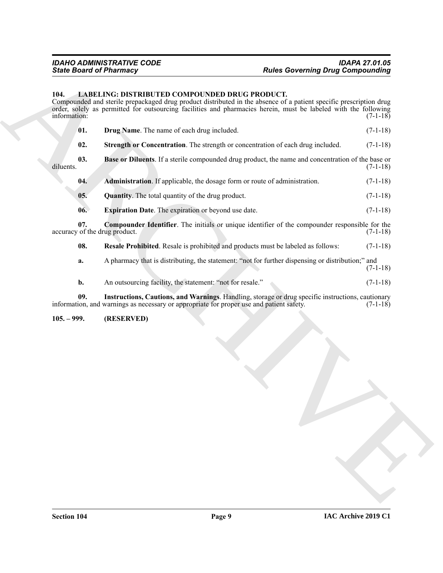#### <span id="page-8-2"></span><span id="page-8-0"></span>**104. LABELING: DISTRIBUTED COMPOUNDED DRUG PRODUCT.**

ARCHIVE Compounded and sterile prepackaged drug product distributed in the absence of a patient specific prescription drug order, solely as permitted for outsourcing facilities and pharmacies herein, must be labeled with the following information: (7-1-18) **01. Drug Name**. The name of each drug included. (7-1-18)

<span id="page-8-11"></span><span id="page-8-6"></span><span id="page-8-4"></span>**02.** Strength or Concentration. The strength or concentration of each drug included. (7-1-18)

**03. Base or Diluents**. If a sterile compounded drug product, the name and concentration of the base or diluents. (7-1-18)

<span id="page-8-9"></span><span id="page-8-3"></span>

| 04. | <b>Administration</b> . If applicable, the dosage form or route of administration. | $(7-1-18)$ |
|-----|------------------------------------------------------------------------------------|------------|
|-----|------------------------------------------------------------------------------------|------------|

- **05. Quantity**. The total quantity of the drug product. (7-1-18)
- <span id="page-8-7"></span><span id="page-8-5"></span>**06. Expiration Date**. The expiration or beyond use date. (7-1-18)

**07. Compounder Identifier**. The initials or unique identifier of the compounder responsible for the of the drug product. (7-1-18) accuracy of the drug product.

<span id="page-8-10"></span>**08. Resale Prohibited**. Resale is prohibited and products must be labeled as follows: (7-1-18)

**a.** A pharmacy that is distributing, the statement: "not for further dispensing or distribution;" and (7-1-18)

<span id="page-8-8"></span>**b.** An outsourcing facility, the statement: "not for resale." (7-1-18)

**09. Instructions, Cautions, and Warnings**. Handling, storage or drug specific instructions, cautionary information, and warnings as necessary or appropriate for proper use and patient safety.

<span id="page-8-1"></span>**105. – 999. (RESERVED)**